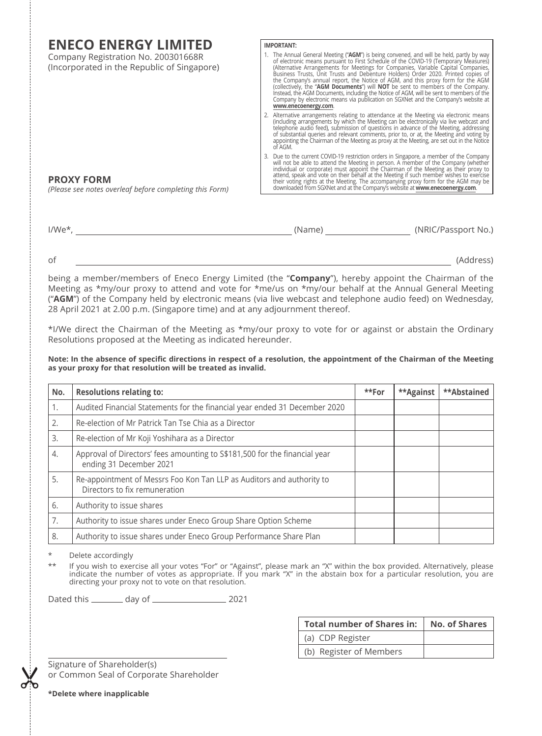| <b>ENECO ENERGY LIMITED</b>                                                        | <b>IMPORTANT:</b>                                                                                                                                                                                                                                                                                                                                                                                                                                                                                                                                                                                                                                                                                                                     |  |  |  |  |  |
|------------------------------------------------------------------------------------|---------------------------------------------------------------------------------------------------------------------------------------------------------------------------------------------------------------------------------------------------------------------------------------------------------------------------------------------------------------------------------------------------------------------------------------------------------------------------------------------------------------------------------------------------------------------------------------------------------------------------------------------------------------------------------------------------------------------------------------|--|--|--|--|--|
| Company Registration No. 200301668R<br>(Incorporated in the Republic of Singapore) | 1. The Annual General Meeting ("AGM") is being convened, and will be held, partly by way<br>of electronic means pursuant to First Schedule of the COVID-19 (Temporary Measures)<br>(Alternative Arrangements for Meetings for Companies, Variable Capital Companies, Business Trusts, Unit Trusts and Debenture Holders) Order 2020. Printed copies of<br>the Company's annual report, the Notice of AGM, and this proxy form for the AGM<br>(collectively, the "AGM Documents") will NOT be sent to members of the Company.<br>Instead, the AGM Documents, including the Notice of AGM, will be sent to members of the<br>Company by electronic means via publication on SGXNet and the Company's website at<br>www.enecoenergy.com. |  |  |  |  |  |
|                                                                                    | 2. Alternative arrangements relating to attendance at the Meeting via electronic means<br>(including arrangements by which the Meeting can be electronically via live webcast and<br>telephone audio feed), submission of questions in advance of the Meeting, addressing<br>of substantial queries and relevant comments, prior to, or at, the Meeting and voting by<br>appointing the Chairman of the Meeting as proxy at the Meeting, are set out in the Notice<br>of AGM.                                                                                                                                                                                                                                                         |  |  |  |  |  |
| <b>PROXY FORM</b><br>(Please see notes overleaf before completing this Form)       | 3. Due to the current COVID-19 restriction orders in Singapore, a member of the Company<br>will not be able to attend the Meeting in person. A prember of the Company (whether individual or corporate) must appoint the Chairman of the Meeting as their proxy to attend, speak and vote on their behalf at the Meeting<br>their voting rights at the Meeting. The accompanying proxy form for the AGM may be<br>downloaded from SGXNet and at the Company's website at www.enecoenergy.com.                                                                                                                                                                                                                                         |  |  |  |  |  |
|                                                                                    |                                                                                                                                                                                                                                                                                                                                                                                                                                                                                                                                                                                                                                                                                                                                       |  |  |  |  |  |

| $I/We^*$ | (Name) | (NRIC/Passport No.) |
|----------|--------|---------------------|
|          |        |                     |

of <u>Charles and Charles and Charles and Charles and Charles and Charles and Charles and Charles and Charles and Charles and Charles and Charles and Charles and Charles and Charles and Charles and Charles and Charles and Ch</u>

being a member/members of Eneco Energy Limited (the "**Company**"), hereby appoint the Chairman of the Meeting as \*my/our proxy to attend and vote for \*me/us on \*my/our behalf at the Annual General Meeting ("**AGM**") of the Company held by electronic means (via live webcast and telephone audio feed) on Wednesday, 28 April 2021 at 2.00 p.m. (Singapore time) and at any adjournment thereof.

\*I/We direct the Chairman of the Meeting as \*my/our proxy to vote for or against or abstain the Ordinary Resolutions proposed at the Meeting as indicated hereunder.

Note: In the absence of specific directions in respect of a resolution, the appointment of the Chairman of the Meeting **as your proxy for that resolution will be treated as invalid.**

| No. | <b>Resolutions relating to:</b>                                                                        | **For | **Against | **Abstained |
|-----|--------------------------------------------------------------------------------------------------------|-------|-----------|-------------|
| 1.  | Audited Financial Statements for the financial year ended 31 December 2020                             |       |           |             |
| 2.  | Re-election of Mr Patrick Tan Tse Chia as a Director                                                   |       |           |             |
| 3.  | Re-election of Mr Koji Yoshihara as a Director                                                         |       |           |             |
| 4.  | Approval of Directors' fees amounting to S\$181,500 for the financial year<br>ending 31 December 2021  |       |           |             |
| 5.  | Re-appointment of Messrs Foo Kon Tan LLP as Auditors and authority to<br>Directors to fix remuneration |       |           |             |
| 6.  | Authority to issue shares                                                                              |       |           |             |
| 7.  | Authority to issue shares under Eneco Group Share Option Scheme                                        |       |           |             |
| 8.  | Authority to issue shares under Eneco Group Performance Share Plan                                     |       |           |             |

\* Delete accordingly

\*\* If you wish to exercise all your votes "For" or "Against", please mark an "X" within the box provided. Alternatively, please<br>indicate the number of votes as appropriate. If you mark "X" in the abstain box for a particul directing your proxy not to vote on that resolution.

Dated this day of 2021

| <b>Total number of Shares in:</b> | No. of Shares |  |  |
|-----------------------------------|---------------|--|--|
| (a) CDP Register                  |               |  |  |
| (b) Register of Members           |               |  |  |

Signature of Shareholder(s) or Common Seal of Corporate Shareholder

**\*Delete where inapplicable**